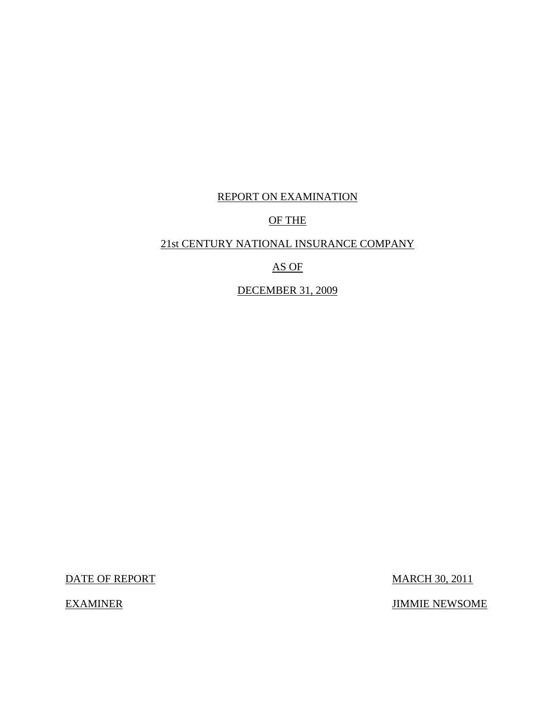# REPORT ON EXAMINATION

# OF THE

# 21st CENTURY NATIONAL INSURANCE COMPANY

# AS OF

# DECEMBER 31, 2009

DATE OF REPORT MARCH 30, 2011

EXAMINER JIMMIE NEWSOME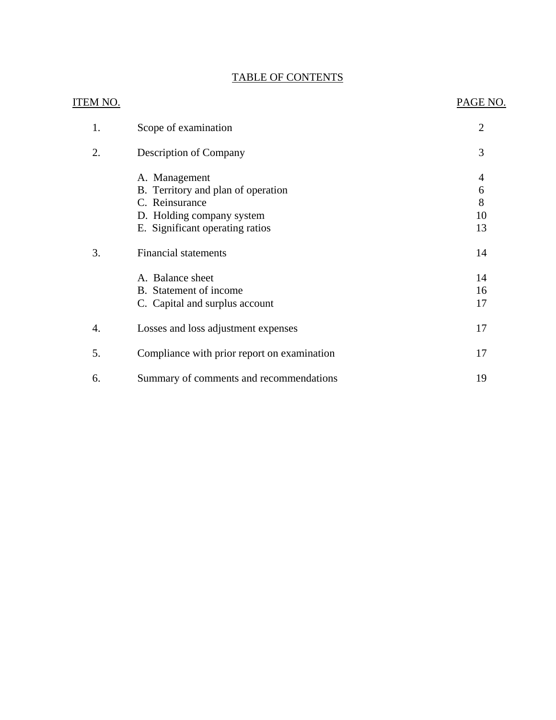# TABLE OF CONTENTS

| ITEM NO. |                                             | PAGE NO.       |
|----------|---------------------------------------------|----------------|
| 1.       | Scope of examination                        | $\overline{2}$ |
| 2.       | <b>Description of Company</b>               | 3              |
|          | A. Management                               | 4              |
|          | B. Territory and plan of operation          | 6              |
|          | C. Reinsurance                              | 8              |
|          | D. Holding company system                   | 10             |
|          | E. Significant operating ratios             | 13             |
| 3.       | <b>Financial statements</b>                 | 14             |
|          | A. Balance sheet                            | 14             |
|          | B. Statement of income                      | 16             |
|          | C. Capital and surplus account              | 17             |
| 4.       | Losses and loss adjustment expenses         | 17             |
| 5.       | Compliance with prior report on examination | 17             |
| 6.       | Summary of comments and recommendations     | 19             |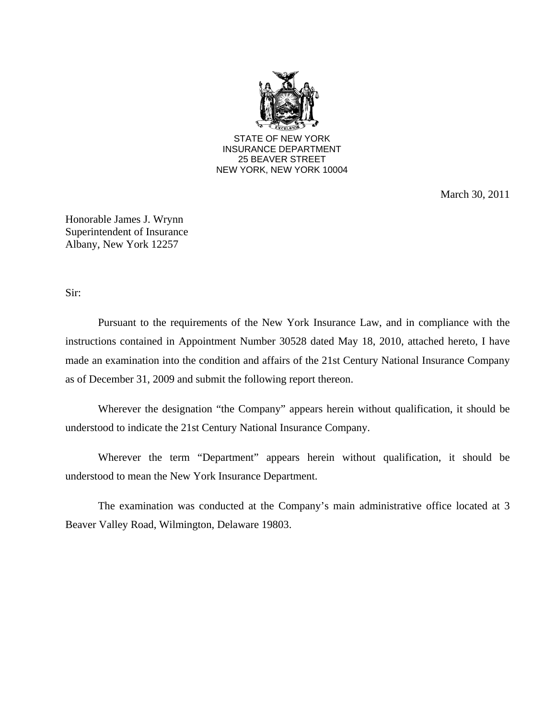

March 30, 2011

Honorable James J. Wrynn Superintendent of Insurance Albany, New York 12257

Sir:

Pursuant to the requirements of the New York Insurance Law, and in compliance with the instructions contained in Appointment Number 30528 dated May 18, 2010, attached hereto, I have made an examination into the condition and affairs of the 21st Century National Insurance Company as of December 31, 2009 and submit the following report thereon.

Wherever the designation "the Company" appears herein without qualification, it should be understood to indicate the 21st Century National Insurance Company.

Wherever the term "Department" appears herein without qualification, it should be understood to mean the New York Insurance Department.

The examination was conducted at the Company's main administrative office located at 3 Beaver Valley Road, Wilmington, Delaware 19803.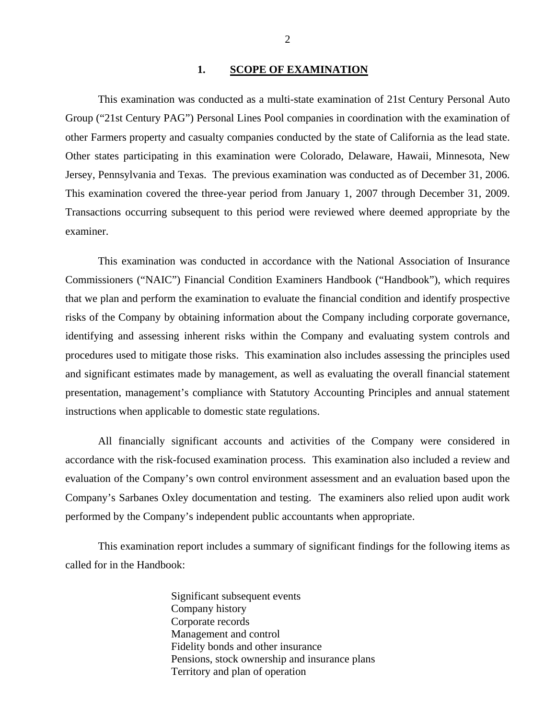#### 1. SCOPE OF EXAMINATION

<span id="page-3-0"></span>This examination was conducted as a multi-state examination of 21st Century Personal Auto Group ("21st Century PAG") Personal Lines Pool companies in coordination with the examination of other Farmers property and casualty companies conducted by the state of California as the lead state. Other states participating in this examination were Colorado, Delaware, Hawaii, Minnesota, New Jersey, Pennsylvania and Texas. The previous examination was conducted as of December 31, 2006. This examination covered the three-year period from January 1, 2007 through December 31, 2009. Transactions occurring subsequent to this period were reviewed where deemed appropriate by the examiner.

This examination was conducted in accordance with the National Association of Insurance Commissioners ("NAIC") Financial Condition Examiners Handbook ("Handbook"), which requires that we plan and perform the examination to evaluate the financial condition and identify prospective risks of the Company by obtaining information about the Company including corporate governance, identifying and assessing inherent risks within the Company and evaluating system controls and procedures used to mitigate those risks. This examination also includes assessing the principles used and significant estimates made by management, as well as evaluating the overall financial statement presentation, management's compliance with Statutory Accounting Principles and annual statement instructions when applicable to domestic state regulations.

All financially significant accounts and activities of the Company were considered in accordance with the risk-focused examination process. This examination also included a review and evaluation of the Company's own control environment assessment and an evaluation based upon the Company's Sarbanes Oxley documentation and testing. The examiners also relied upon audit work performed by the Company's independent public accountants when appropriate.

This examination report includes a summary of significant findings for the following items as called for in the Handbook:

> Significant subsequent events Company history Corporate records Management and control Fidelity bonds and other insurance Pensions, stock ownership and insurance plans Territory and plan of operation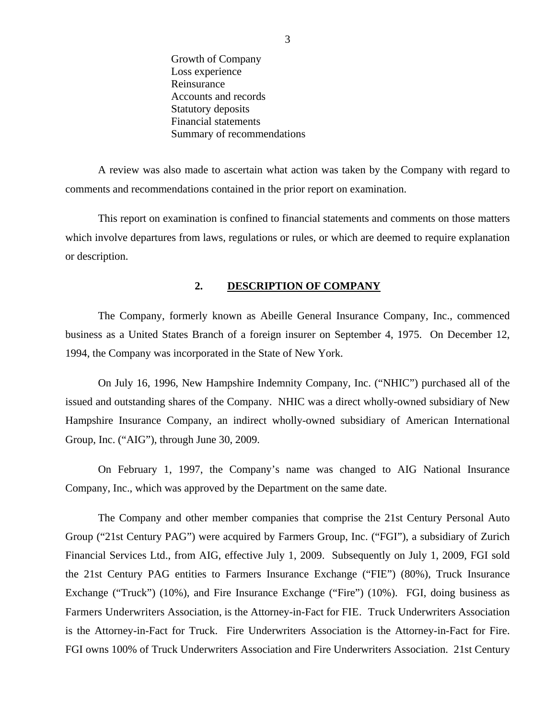Growth of Company Loss experience Reinsurance Accounts and records Statutory deposits Financial statements Summary of recommendations

<span id="page-4-0"></span>A review was also made to ascertain what action was taken by the Company with regard to comments and recommendations contained in the prior report on examination.

This report on examination is confined to financial statements and comments on those matters which involve departures from laws, regulations or rules, or which are deemed to require explanation or description.

#### **2. DESCRIPTION OF COMPANY**

The Company, formerly known as Abeille General Insurance Company, Inc., commenced business as a United States Branch of a foreign insurer on September 4, 1975. On December 12, 1994, the Company was incorporated in the State of New York.

On July 16, 1996, New Hampshire Indemnity Company, Inc. ("NHIC") purchased all of the issued and outstanding shares of the Company. NHIC was a direct wholly-owned subsidiary of New Hampshire Insurance Company, an indirect wholly-owned subsidiary of American International Group, Inc. ("AIG"), through June 30, 2009.

On February 1, 1997, the Company's name was changed to AIG National Insurance Company, Inc., which was approved by the Department on the same date.

 Farmers Underwriters Association, is the Attorney-in-Fact for FIE. Truck Underwriters Association The Company and other member companies that comprise the 21st Century Personal Auto Group ("21st Century PAG") were acquired by Farmers Group, Inc. ("FGI"), a subsidiary of Zurich Financial Services Ltd., from AIG, effective July 1, 2009. Subsequently on July 1, 2009, FGI sold the 21st Century PAG entities to Farmers Insurance Exchange ("FIE") (80%), Truck Insurance Exchange ("Truck") (10%), and Fire Insurance Exchange ("Fire") (10%). FGI, doing business as is the Attorney-in-Fact for Truck. Fire Underwriters Association is the Attorney-in-Fact for Fire. FGI owns 100% of Truck Underwriters Association and Fire Underwriters Association. 21st Century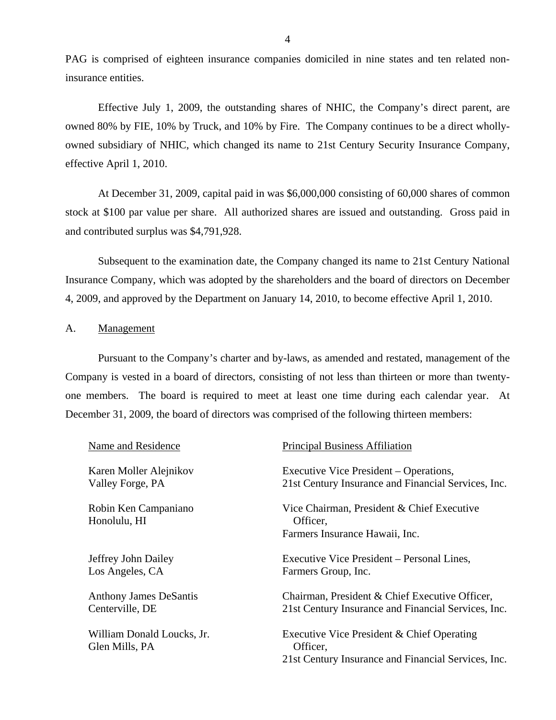<span id="page-5-0"></span>PAG is comprised of eighteen insurance companies domiciled in nine states and ten related noninsurance entities.

Effective July 1, 2009, the outstanding shares of NHIC, the Company's direct parent, are owned 80% by FIE, 10% by Truck, and 10% by Fire. The Company continues to be a direct whollyowned subsidiary of NHIC, which changed its name to 21st Century Security Insurance Company, effective April 1, 2010.

At December 31, 2009, capital paid in was \$6,000,000 consisting of 60,000 shares of common stock at \$100 par value per share. All authorized shares are issued and outstanding. Gross paid in and contributed surplus was \$4,791,928.

Subsequent to the examination date, the Company changed its name to 21st Century National Insurance Company, which was adopted by the shareholders and the board of directors on December 4, 2009, and approved by the Department on January 14, 2010, to become effective April 1, 2010.

#### A. Management

Pursuant to the Company's charter and by-laws, as amended and restated, management of the Company is vested in a board of directors, consisting of not less than thirteen or more than twentyone members. The board is required to meet at least one time during each calendar year. At December 31, 2009, the board of directors was comprised of the following thirteen members:

| Name and Residence                               | <b>Principal Business Affiliation</b>                                                                         |
|--------------------------------------------------|---------------------------------------------------------------------------------------------------------------|
| Karen Moller Alejnikov<br>Valley Forge, PA       | Executive Vice President – Operations,<br>21st Century Insurance and Financial Services, Inc.                 |
| Robin Ken Campaniano<br>Honolulu, HI             | Vice Chairman, President & Chief Executive<br>Officer,<br>Farmers Insurance Hawaii, Inc.                      |
| Jeffrey John Dailey<br>Los Angeles, CA           | Executive Vice President – Personal Lines,<br>Farmers Group, Inc.                                             |
| <b>Anthony James DeSantis</b><br>Centerville, DE | Chairman, President & Chief Executive Officer,<br>21st Century Insurance and Financial Services, Inc.         |
| William Donald Loucks, Jr.<br>Glen Mills, PA     | Executive Vice President & Chief Operating<br>Officer,<br>21st Century Insurance and Financial Services, Inc. |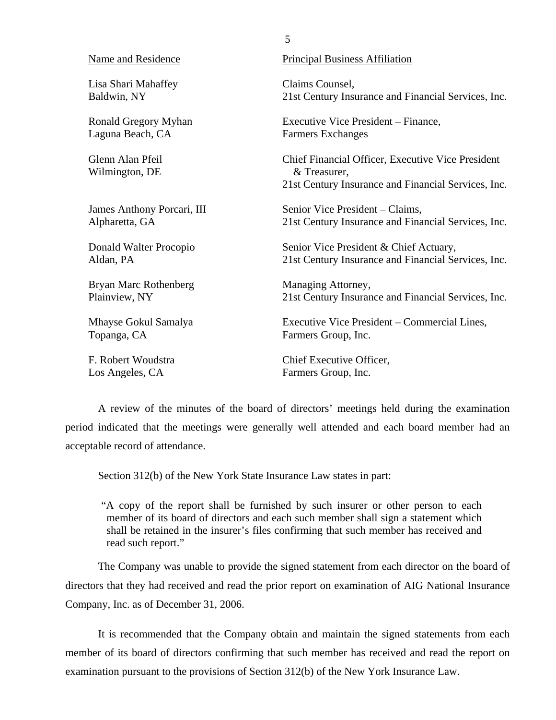| Name and Residence                 | <b>Principal Business Affiliation</b>                                                                                    |
|------------------------------------|--------------------------------------------------------------------------------------------------------------------------|
| Lisa Shari Mahaffey                | Claims Counsel,                                                                                                          |
| Baldwin, NY                        | 21st Century Insurance and Financial Services, Inc.                                                                      |
| <b>Ronald Gregory Myhan</b>        | Executive Vice President – Finance,                                                                                      |
| Laguna Beach, CA                   | <b>Farmers Exchanges</b>                                                                                                 |
| Glenn Alan Pfeil<br>Wilmington, DE | Chief Financial Officer, Executive Vice President<br>& Treasurer,<br>21st Century Insurance and Financial Services, Inc. |
| James Anthony Porcari, III         | Senior Vice President – Claims,                                                                                          |
| Alpharetta, GA                     | 21st Century Insurance and Financial Services, Inc.                                                                      |
| Donald Walter Procopio             | Senior Vice President & Chief Actuary,                                                                                   |
| Aldan, PA                          | 21st Century Insurance and Financial Services, Inc.                                                                      |
| Bryan Marc Rothenberg              | Managing Attorney,                                                                                                       |
| Plainview, NY                      | 21st Century Insurance and Financial Services, Inc.                                                                      |
| Mhayse Gokul Samalya               | Executive Vice President – Commercial Lines,                                                                             |
| Topanga, CA                        | Farmers Group, Inc.                                                                                                      |
| F. Robert Woudstra                 | Chief Executive Officer,                                                                                                 |
| Los Angeles, CA                    | Farmers Group, Inc.                                                                                                      |

5

A review of the minutes of the board of directors' meetings held during the examination period indicated that the meetings were generally well attended and each board member had an acceptable record of attendance.

Section 312(b) of the New York State Insurance Law states in part:

"A copy of the report shall be furnished by such insurer or other person to each member of its board of directors and each such member shall sign a statement which shall be retained in the insurer's files confirming that such member has received and read such report."

The Company was unable to provide the signed statement from each director on the board of directors that they had received and read the prior report on examination of AIG National Insurance Company, Inc. as of December 31, 2006.

It is recommended that the Company obtain and maintain the signed statements from each member of its board of directors confirming that such member has received and read the report on examination pursuant to the provisions of Section 312(b) of the New York Insurance Law.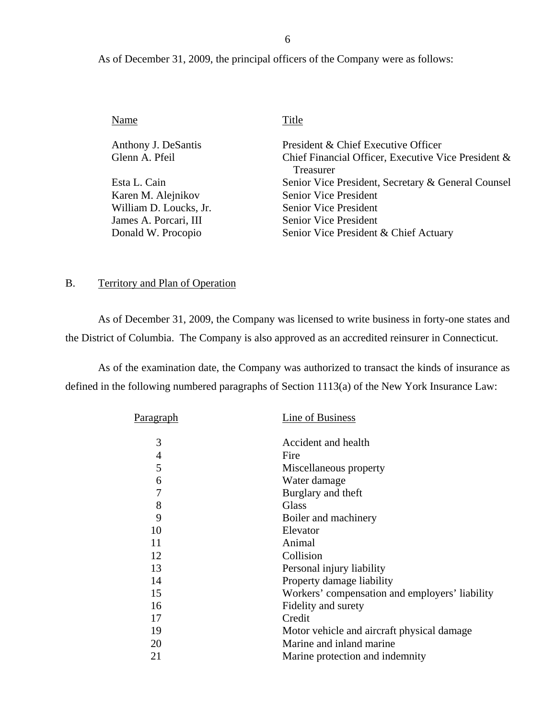6

As of December 31, 2009, the principal officers of the Company were as follows:

| Name                   | Title                                               |
|------------------------|-----------------------------------------------------|
| Anthony J. DeSantis    | President & Chief Executive Officer                 |
| Glenn A. Pfeil         | Chief Financial Officer, Executive Vice President & |
|                        | Treasurer                                           |
| Esta L. Cain           | Senior Vice President, Secretary & General Counsel  |
| Karen M. Alejnikov     | <b>Senior Vice President</b>                        |
| William D. Loucks, Jr. | <b>Senior Vice President</b>                        |
| James A. Porcari, III  | <b>Senior Vice President</b>                        |
| Donald W. Procopio     | Senior Vice President & Chief Actuary               |
|                        |                                                     |

# B. Territory and Plan of Operation

As of December 31, 2009, the Company was licensed to write business in forty-one states and the District of Columbia. The Company is also approved as an accredited reinsurer in Connecticut.

As of the examination date, the Company was authorized to transact the kinds of insurance as defined in the following numbered paragraphs of Section 1113(a) of the New York Insurance Law:

| P <u>aragraph</u> | Line of Business                               |
|-------------------|------------------------------------------------|
| 3                 | Accident and health                            |
| 4                 | Fire                                           |
| 5                 | Miscellaneous property                         |
| 6                 | Water damage                                   |
| 7                 | Burglary and theft                             |
| 8                 | Glass                                          |
| 9                 | Boiler and machinery                           |
| 10                | Elevator                                       |
| 11                | Animal                                         |
| 12                | Collision                                      |
| 13                | Personal injury liability                      |
| 14                | Property damage liability                      |
| 15                | Workers' compensation and employers' liability |
| 16                | Fidelity and surety                            |
| 17                | Credit                                         |
| 19                | Motor vehicle and aircraft physical damage     |
| 20                | Marine and inland marine                       |
| 21                | Marine protection and indemnity                |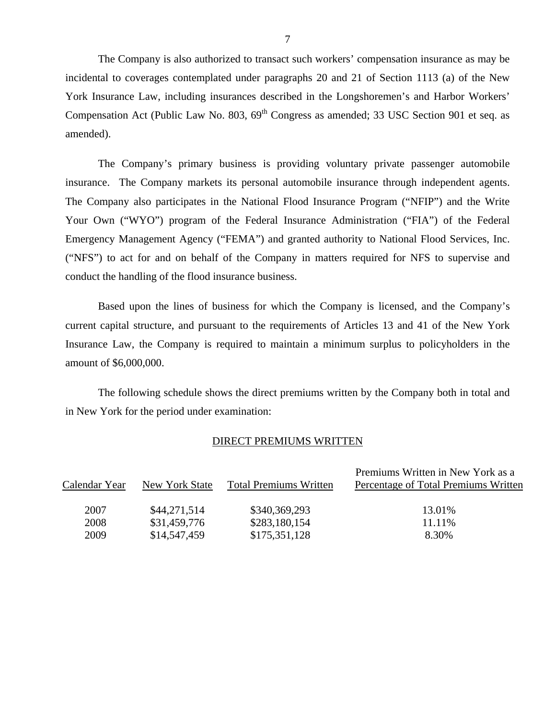The Company is also authorized to transact such workers' compensation insurance as may be incidental to coverages contemplated under paragraphs 20 and 21 of Section 1113 (a) of the New York Insurance Law, including insurances described in the Longshoremen's and Harbor Workers' Compensation Act (Public Law No. 803,  $69<sup>th</sup>$  Congress as amended; 33 USC Section 901 et seq. as amended).

The Company's primary business is providing voluntary private passenger automobile insurance. The Company markets its personal automobile insurance through independent agents. The Company also participates in the National Flood Insurance Program ("NFIP") and the Write Your Own ("WYO") program of the Federal Insurance Administration ("FIA") of the Federal Emergency Management Agency ("FEMA") and granted authority to National Flood Services, Inc. ("NFS") to act for and on behalf of the Company in matters required for NFS to supervise and conduct the handling of the flood insurance business.

Based upon the lines of business for which the Company is licensed, and the Company's current capital structure, and pursuant to the requirements of Articles 13 and 41 of the New York Insurance Law, the Company is required to maintain a minimum surplus to policyholders in the amount of \$6,000,000.

The following schedule shows the direct premiums written by the Company both in total and in New York for the period under examination:

#### DIRECT PREMIUMS WRITTEN

|               |                |                               | Premiums Written in New York as a    |
|---------------|----------------|-------------------------------|--------------------------------------|
| Calendar Year | New York State | <b>Total Premiums Written</b> | Percentage of Total Premiums Written |
|               |                |                               |                                      |
| 2007          | \$44,271,514   | \$340,369,293                 | 13.01%                               |
| 2008          | \$31,459,776   | \$283,180,154                 | 11.11\%                              |
| 2009          | \$14,547,459   | \$175,351,128                 | 8.30%                                |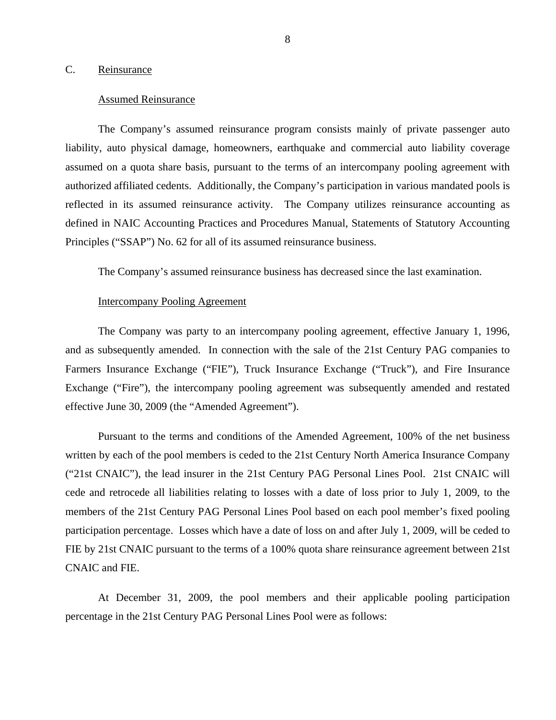#### <span id="page-9-0"></span>C. Reinsurance

#### Assumed Reinsurance

The Company's assumed reinsurance program consists mainly of private passenger auto liability, auto physical damage, homeowners, earthquake and commercial auto liability coverage assumed on a quota share basis, pursuant to the terms of an intercompany pooling agreement with authorized affiliated cedents. Additionally, the Company's participation in various mandated pools is reflected in its assumed reinsurance activity. The Company utilizes reinsurance accounting as defined in NAIC Accounting Practices and Procedures Manual, Statements of Statutory Accounting Principles ("SSAP") No. 62 for all of its assumed reinsurance business.

The Company's assumed reinsurance business has decreased since the last examination.

#### Intercompany Pooling Agreement

The Company was party to an intercompany pooling agreement, effective January 1, 1996, and as subsequently amended. In connection with the sale of the 21st Century PAG companies to Farmers Insurance Exchange ("FIE"), Truck Insurance Exchange ("Truck"), and Fire Insurance Exchange ("Fire"), the intercompany pooling agreement was subsequently amended and restated effective June 30, 2009 (the "Amended Agreement").

Pursuant to the terms and conditions of the Amended Agreement, 100% of the net business written by each of the pool members is ceded to the 21st Century North America Insurance Company ("21st CNAIC"), the lead insurer in the 21st Century PAG Personal Lines Pool. 21st CNAIC will cede and retrocede all liabilities relating to losses with a date of loss prior to July 1, 2009, to the members of the 21st Century PAG Personal Lines Pool based on each pool member's fixed pooling participation percentage. Losses which have a date of loss on and after July 1, 2009, will be ceded to FIE by 21st CNAIC pursuant to the terms of a 100% quota share reinsurance agreement between 21st CNAIC and FIE.

At December 31, 2009, the pool members and their applicable pooling participation percentage in the 21st Century PAG Personal Lines Pool were as follows: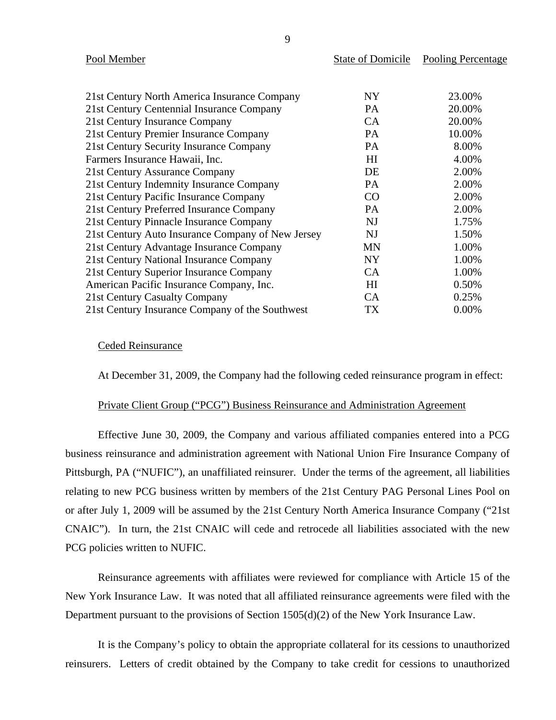| Pool Member                                       | <b>State of Domicile</b> | Pooling Percentage |
|---------------------------------------------------|--------------------------|--------------------|
|                                                   |                          |                    |
| 21st Century North America Insurance Company      | NY.                      | 23.00%             |
| 21st Century Centennial Insurance Company         | PA                       | 20.00%             |
| 21st Century Insurance Company                    | CA                       | 20.00%             |
| 21st Century Premier Insurance Company            | PA                       | 10.00%             |
| 21st Century Security Insurance Company           | PA                       | 8.00%              |
| Farmers Insurance Hawaii, Inc.                    | H                        | 4.00%              |
| 21st Century Assurance Company                    | DE                       | 2.00%              |
| 21st Century Indemnity Insurance Company          | PA                       | 2.00%              |
| 21st Century Pacific Insurance Company            | CO                       | 2.00%              |
| 21st Century Preferred Insurance Company          | <b>PA</b>                | 2.00%              |
| 21st Century Pinnacle Insurance Company           | <b>NJ</b>                | 1.75%              |
| 21st Century Auto Insurance Company of New Jersey | NJ                       | 1.50%              |
| 21st Century Advantage Insurance Company          | <b>MN</b>                | 1.00%              |
| 21st Century National Insurance Company           | <b>NY</b>                | 1.00%              |
| 21st Century Superior Insurance Company           | CA                       | 1.00%              |
| American Pacific Insurance Company, Inc.          | H <sub>I</sub>           | 0.50%              |
| 21st Century Casualty Company                     | <b>CA</b>                | 0.25%              |
| 21st Century Insurance Company of the Southwest   | TX                       | 0.00%              |

#### Ceded Reinsurance

At December 31, 2009, the Company had the following ceded reinsurance program in effect:

#### Private Client Group ("PCG") Business Reinsurance and Administration Agreement

Effective June 30, 2009, the Company and various affiliated companies entered into a PCG business reinsurance and administration agreement with National Union Fire Insurance Company of Pittsburgh, PA ("NUFIC"), an unaffiliated reinsurer. Under the terms of the agreement, all liabilities relating to new PCG business written by members of the 21st Century PAG Personal Lines Pool on or after July 1, 2009 will be assumed by the 21st Century North America Insurance Company ("21st CNAIC"). In turn, the 21st CNAIC will cede and retrocede all liabilities associated with the new PCG policies written to NUFIC.

Reinsurance agreements with affiliates were reviewed for compliance with Article 15 of the New York Insurance Law. It was noted that all affiliated reinsurance agreements were filed with the Department pursuant to the provisions of Section 1505(d)(2) of the New York Insurance Law.

It is the Company's policy to obtain the appropriate collateral for its cessions to unauthorized reinsurers. Letters of credit obtained by the Company to take credit for cessions to unauthorized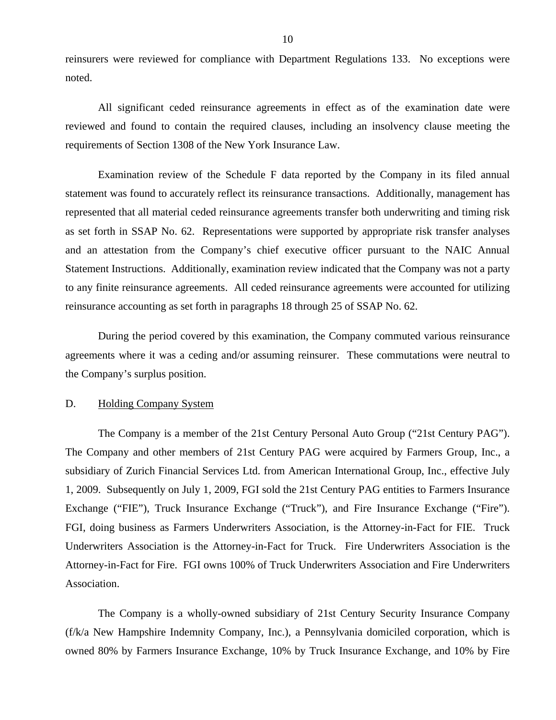<span id="page-11-0"></span>reinsurers were reviewed for compliance with Department Regulations 133. No exceptions were noted.

All significant ceded reinsurance agreements in effect as of the examination date were reviewed and found to contain the required clauses, including an insolvency clause meeting the requirements of Section 1308 of the New York Insurance Law.

Examination review of the Schedule F data reported by the Company in its filed annual statement was found to accurately reflect its reinsurance transactions. Additionally, management has represented that all material ceded reinsurance agreements transfer both underwriting and timing risk as set forth in SSAP No. 62. Representations were supported by appropriate risk transfer analyses and an attestation from the Company's chief executive officer pursuant to the NAIC Annual Statement Instructions. Additionally, examination review indicated that the Company was not a party to any finite reinsurance agreements. All ceded reinsurance agreements were accounted for utilizing reinsurance accounting as set forth in paragraphs 18 through 25 of SSAP No. 62.

During the period covered by this examination, the Company commuted various reinsurance agreements where it was a ceding and/or assuming reinsurer. These commutations were neutral to the Company's surplus position.

#### D. Holding Company System

The Company is a member of the 21st Century Personal Auto Group ("21st Century PAG"). The Company and other members of 21st Century PAG were acquired by Farmers Group, Inc., a subsidiary of Zurich Financial Services Ltd. from American International Group, Inc., effective July 1, 2009. Subsequently on July 1, 2009, FGI sold the 21st Century PAG entities to Farmers Insurance Exchange ("FIE"), Truck Insurance Exchange ("Truck"), and Fire Insurance Exchange ("Fire"). FGI, doing business as Farmers Underwriters Association, is the Attorney-in-Fact for FIE. Truck Underwriters Association is the Attorney-in-Fact for Truck. Fire Underwriters Association is the Attorney-in-Fact for Fire. FGI owns 100% of Truck Underwriters Association and Fire Underwriters Association.

The Company is a wholly-owned subsidiary of 21st Century Security Insurance Company (f/k/a New Hampshire Indemnity Company, Inc.), a Pennsylvania domiciled corporation, which is owned 80% by Farmers Insurance Exchange, 10% by Truck Insurance Exchange, and 10% by Fire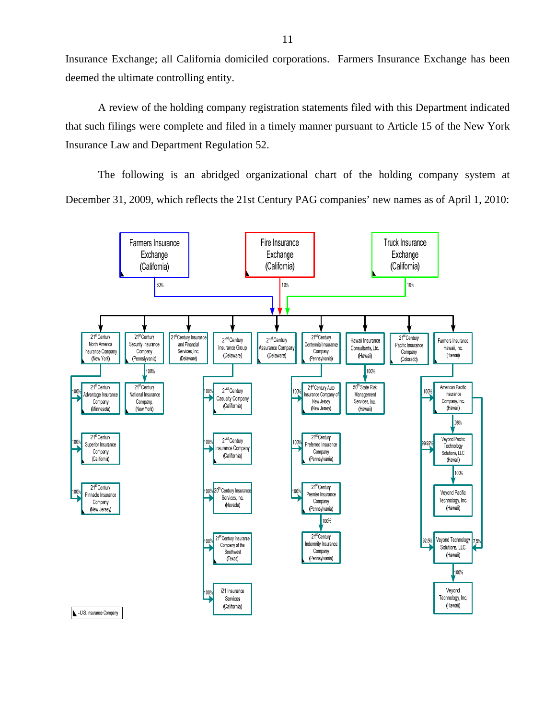Insurance Exchange; all California domiciled corporations. Farmers Insurance Exchange has been deemed the ultimate controlling entity.

A review of the holding company registration statements filed with this Department indicated that such filings were complete and filed in a timely manner pursuant to Article 15 of the New York Insurance Law and Department Regulation 52.

The following is an abridged organizational chart of the holding company system at December 31, 2009, which reflects the 21st Century PAG companies' new names as of April 1, 2010:

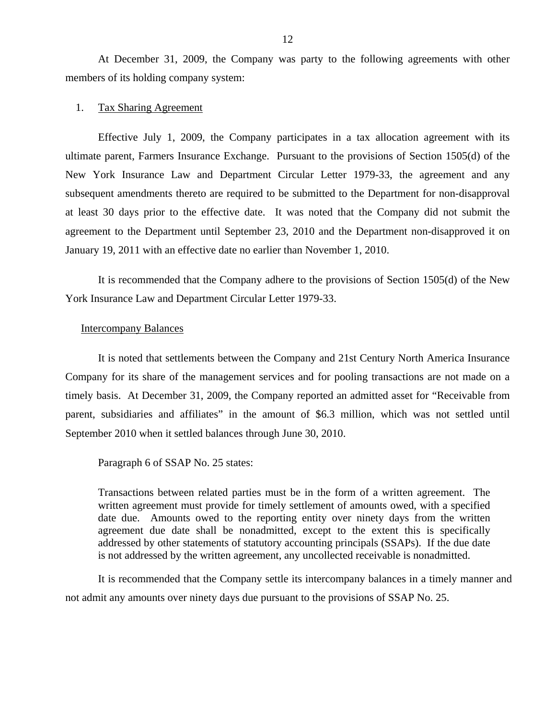At December 31, 2009, the Company was party to the following agreements with other members of its holding company system:

#### 1. Tax Sharing Agreement

Effective July 1, 2009, the Company participates in a tax allocation agreement with its ultimate parent, Farmers Insurance Exchange. Pursuant to the provisions of Section 1505(d) of the New York Insurance Law and Department Circular Letter 1979-33, the agreement and any subsequent amendments thereto are required to be submitted to the Department for non-disapproval at least 30 days prior to the effective date. It was noted that the Company did not submit the agreement to the Department until September 23, 2010 and the Department non-disapproved it on January 19, 2011 with an effective date no earlier than November 1, 2010.

It is recommended that the Company adhere to the provisions of Section 1505(d) of the New York Insurance Law and Department Circular Letter 1979-33.

#### Intercompany Balances

It is noted that settlements between the Company and 21st Century North America Insurance Company for its share of the management services and for pooling transactions are not made on a timely basis. At December 31, 2009, the Company reported an admitted asset for "Receivable from parent, subsidiaries and affiliates" in the amount of \$6.3 million, which was not settled until September 2010 when it settled balances through June 30, 2010.

Paragraph 6 of SSAP No. 25 states:

Transactions between related parties must be in the form of a written agreement. The written agreement must provide for timely settlement of amounts owed, with a specified date due. Amounts owed to the reporting entity over ninety days from the written agreement due date shall be nonadmitted, except to the extent this is specifically addressed by other statements of statutory accounting principals (SSAPs). If the due date is not addressed by the written agreement, any uncollected receivable is nonadmitted.

It is recommended that the Company settle its intercompany balances in a timely manner and not admit any amounts over ninety days due pursuant to the provisions of SSAP No. 25.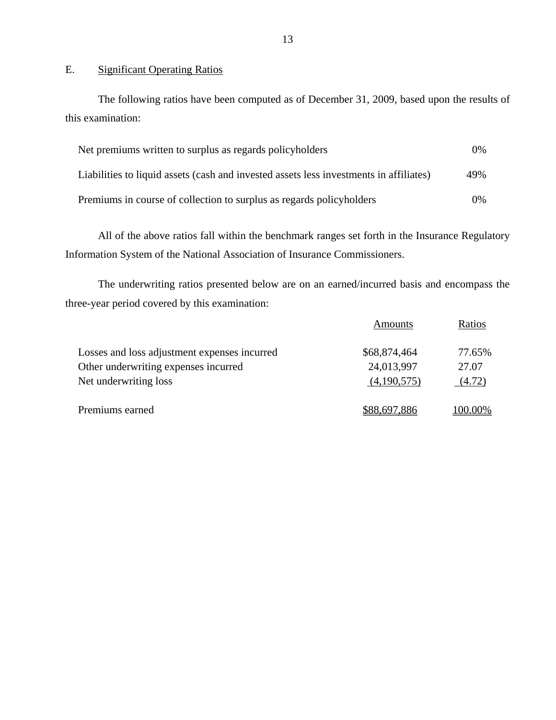E. Significant Operating Ratios

The following ratios have been computed as of December 31, 2009, based upon the results of this examination:

| Net premiums written to surplus as regards policyholders                               | $0\%$ |
|----------------------------------------------------------------------------------------|-------|
| Liabilities to liquid assets (cash and invested assets less investments in affiliates) | 49%   |
| Premiums in course of collection to surplus as regards policyholders                   | $0\%$ |

All of the above ratios fall within the benchmark ranges set forth in the Insurance Regulatory Information System of the National Association of Insurance Commissioners.

The underwriting ratios presented below are on an earned/incurred basis and encompass the three-year period covered by this examination:

|                                              | <b>Amounts</b> | Ratios  |
|----------------------------------------------|----------------|---------|
| Losses and loss adjustment expenses incurred | \$68,874,464   | 77.65%  |
| Other underwriting expenses incurred         | 24,013,997     | 27.07   |
| Net underwriting loss                        | (4,190,575)    | (4.72)  |
| Premiums earned                              | \$88,697,886   | 100.00% |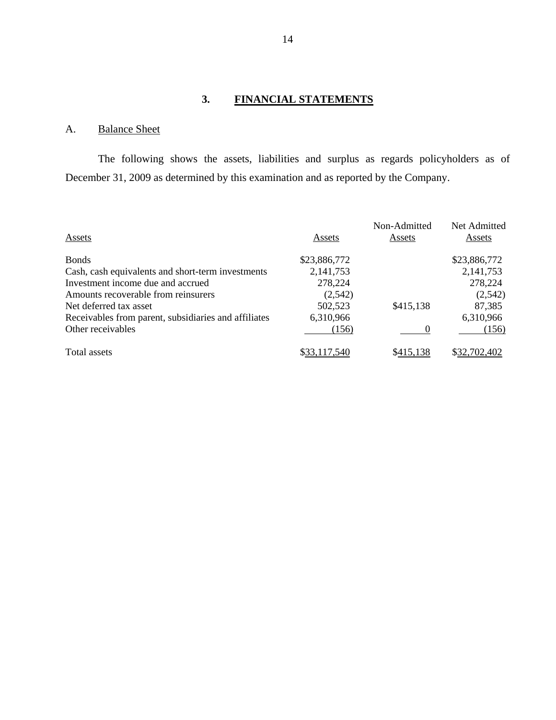# **3. FINANCIAL STATEMENTS**

# A. Balance Sheet

The following shows the assets, liabilities and surplus as regards policyholders as of December 31, 2009 as determined by this examination and as reported by the Company.

|                                                      |              | Non-Admitted | Net Admitted |
|------------------------------------------------------|--------------|--------------|--------------|
| Assets                                               | Assets       | Assets       | Assets       |
| <b>Bonds</b>                                         | \$23,886,772 |              | \$23,886,772 |
| Cash, cash equivalents and short-term investments    | 2,141,753    |              | 2,141,753    |
| Investment income due and accrued                    | 278,224      |              | 278,224      |
| Amounts recoverable from reinsurers                  | (2,542)      |              | (2,542)      |
| Net deferred tax asset                               | 502,523      | \$415,138    | 87,385       |
| Receivables from parent, subsidiaries and affiliates | 6,310,966    |              | 6,310,966    |
| Other receivables                                    | (156)        |              | (156)        |
| Total assets                                         | \$33,117,540 | \$415,138    | \$32,702,402 |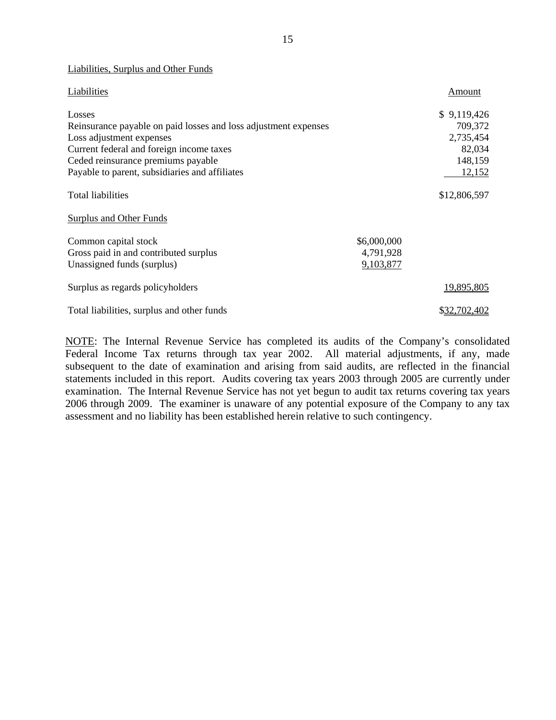| Liabilities, Surplus and Other Funds                            |             |              |
|-----------------------------------------------------------------|-------------|--------------|
| Liabilities                                                     |             | Amount       |
| Losses                                                          |             | \$9,119,426  |
| Reinsurance payable on paid losses and loss adjustment expenses |             | 709,372      |
| Loss adjustment expenses                                        |             | 2,735,454    |
| Current federal and foreign income taxes                        |             | 82,034       |
| Ceded reinsurance premiums payable                              |             | 148,159      |
| Payable to parent, subsidiaries and affiliates                  |             | 12,152       |
| <b>Total liabilities</b>                                        |             | \$12,806,597 |
| <b>Surplus and Other Funds</b>                                  |             |              |
| Common capital stock                                            | \$6,000,000 |              |
| Gross paid in and contributed surplus                           | 4,791,928   |              |
| Unassigned funds (surplus)                                      | 9,103,877   |              |
| Surplus as regards policyholders                                |             | 19,895,805   |
| Total liabilities, surplus and other funds                      |             | \$32,702,402 |

NOTE: The Internal Revenue Service has completed its audits of the Company's consolidated Federal Income Tax returns through tax year 2002. All material adjustments, if any, made subsequent to the date of examination and arising from said audits, are reflected in the financial statements included in this report. Audits covering tax years 2003 through 2005 are currently under examination. The Internal Revenue Service has not yet begun to audit tax returns covering tax years 2006 through 2009. The examiner is unaware of any potential exposure of the Company to any tax assessment and no liability has been established herein relative to such contingency.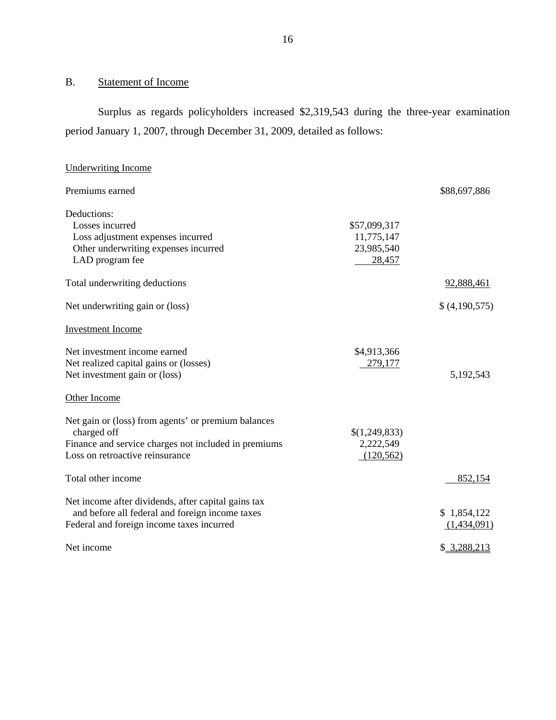# B. Statement of Income

Surplus as regards policyholders increased \$2,319,543 during the three-year examination period January 1, 2007, through December 31, 2009, detailed as follows:

| <b>Underwriting Income</b>                                                                                                                                    |                                                    |                            |
|---------------------------------------------------------------------------------------------------------------------------------------------------------------|----------------------------------------------------|----------------------------|
| Premiums earned                                                                                                                                               |                                                    | \$88,697,886               |
| Deductions:<br>Losses incurred<br>Loss adjustment expenses incurred<br>Other underwriting expenses incurred<br>LAD program fee                                | \$57,099,317<br>11,775,147<br>23,985,540<br>28,457 |                            |
| Total underwriting deductions                                                                                                                                 |                                                    | 92,888,461                 |
| Net underwriting gain or (loss)                                                                                                                               |                                                    | \$(4,190,575)              |
| <b>Investment Income</b>                                                                                                                                      |                                                    |                            |
| Net investment income earned<br>Net realized capital gains or (losses)<br>Net investment gain or (loss)                                                       | \$4,913,366<br>279,177                             | 5,192,543                  |
| Other Income                                                                                                                                                  |                                                    |                            |
| Net gain or (loss) from agents' or premium balances<br>charged off<br>Finance and service charges not included in premiums<br>Loss on retroactive reinsurance | \$(1,249,833)<br>2,222,549<br>(120, 562)           |                            |
| Total other income                                                                                                                                            |                                                    | 852,154                    |
| Net income after dividends, after capital gains tax<br>and before all federal and foreign income taxes<br>Federal and foreign income taxes incurred           |                                                    | \$1,854,122<br>(1,434,091) |
| Net income                                                                                                                                                    |                                                    | \$ 3,288,213               |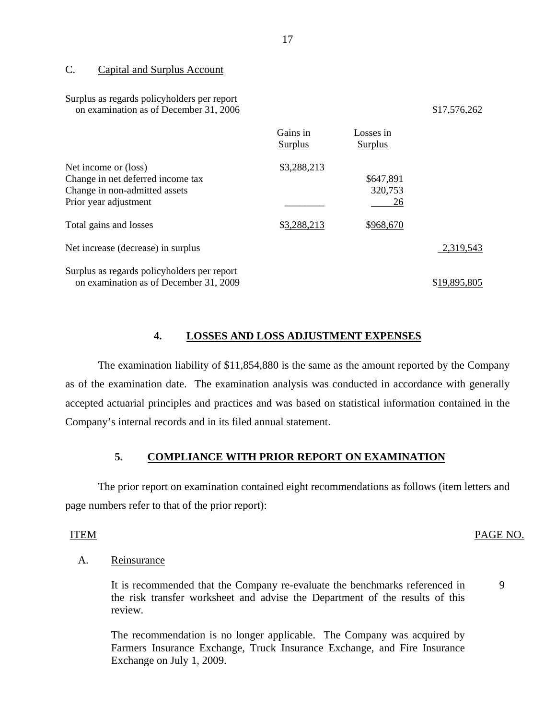#### C. Capital and Surplus Account

#### Surplus as regards policyholders per report on examination as of December 31,  $\overline{2006}$  \$17,576,262

|                                                                                                                     | Gains in<br>Surplus | Losses in<br>Surplus       |              |
|---------------------------------------------------------------------------------------------------------------------|---------------------|----------------------------|--------------|
| Net income or (loss)<br>Change in net deferred income tax<br>Change in non-admitted assets<br>Prior year adjustment | \$3,288,213         | \$647,891<br>320,753<br>26 |              |
| Total gains and losses                                                                                              | \$3,288,213         | \$968,670                  |              |
| Net increase (decrease) in surplus                                                                                  |                     |                            | 2,319,543    |
| Surplus as regards policyholders per report<br>on examination as of December 31, 2009                               |                     |                            | \$19,895,805 |

### **4. LOSSES AND LOSS ADJUSTMENT EXPENSES**

The examination liability of \$11,854,880 is the same as the amount reported by the Company as of the examination date. The examination analysis was conducted in accordance with generally accepted actuarial principles and practices and was based on statistical information contained in the Company's internal records and in its filed annual statement.

## **5. COMPLIANCE WITH PRIOR REPORT ON EXAMINATION**

The prior report on examination contained eight recommendations as follows (item letters and page numbers refer to that of the prior report):

#### ITEM PAGE NO.

9

# Reinsurance

A. Reinsurance<br>It is recommended that the Company re-evaluate the benchmarks referenced in the risk transfer worksheet and advise the Department of the results of this review.

The recommendation is no longer applicable. The Company was acquired by Farmers Insurance Exchange, Truck Insurance Exchange, and Fire Insurance Exchange on July 1, 2009.

17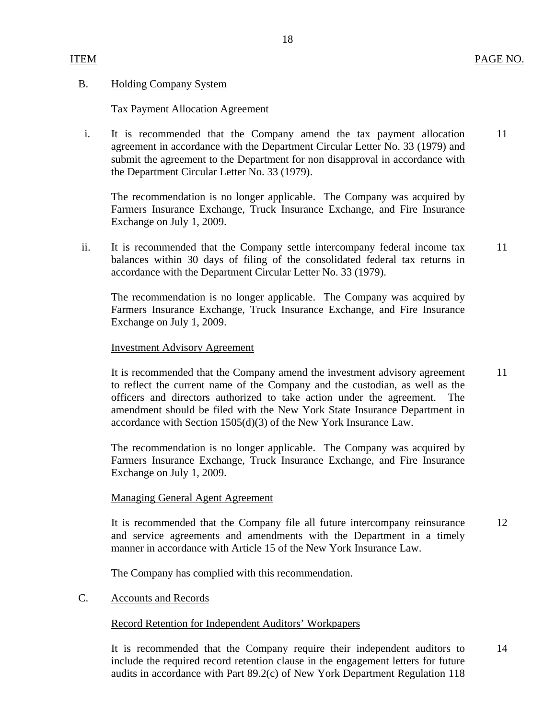#### **Holding Company System**

# B. Holding Company System<br>Tax Payment Allocation Agreement

 i. It is recommended that the Company amend the tax payment allocation 11 agreement in accordance with the Department Circular Letter No. 33 (1979) and submit the agreement to the Department for non disapproval in accordance with the Department Circular Letter No. 33 (1979).

The recommendation is no longer applicable. The Company was acquired by Farmers Insurance Exchange, Truck Insurance Exchange, and Fire Insurance Exchange on July 1, 2009.

ii. It is recommended that the Company settle intercompany federal income tax 11 balances within 30 days of filing of the consolidated federal tax returns in accordance with the Department Circular Letter No. 33 (1979).

The recommendation is no longer applicable. The Company was acquired by Farmers Insurance Exchange, Truck Insurance Exchange, and Fire Insurance Exchange on July 1, 2009.

#### **Investment Advisory Agreement**

It is recommended that the Company amend the investment advisory agreement 11 to reflect the current name of the Company and the custodian, as well as the officers and directors authorized to take action under the agreement. The amendment should be filed with the New York State Insurance Department in accordance with Section 1505(d)(3) of the New York Insurance Law.

The recommendation is no longer applicable. The Company was acquired by Farmers Insurance Exchange, Truck Insurance Exchange, and Fire Insurance Exchange on July 1, 2009.

#### **Managing General Agent Agreement**

It is recommended that the Company file all future intercompany reinsurance 12 and service agreements and amendments with the Department in a timely manner in accordance with Article 15 of the New York Insurance Law.

The Company has complied with this recommendation.

#### **Accounts and Records**

#### Record Retention for Independent Auditors' Workpapers

C. Accounts and Records<br>Record Retention for Independent Auditors' Workpapers<br>It is recommended that the Company require their independent auditors to 14 include the required record retention clause in the engagement letters for future audits in accordance with Part 89.2(c) of New York Department Regulation 118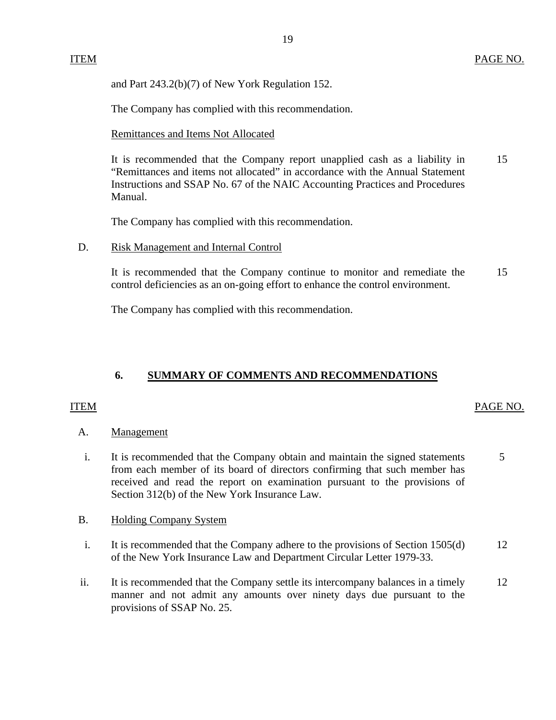<span id="page-20-0"></span>and Part 243.2(b)(7) of New York Regulation 152.

The Company has complied with this recommendation.

Remittances and Items Not Allocated

It is recommended that the Company report unapplied cash as a liability in 15 "Remittances and items not allocated" in accordance with the Annual Statement Instructions and SSAP No. 67 of the NAIC Accounting Practices and Procedures Manual.

The Company has complied with this recommendation.

**Risk Management and Internal Control** 

D. Risk Management and Internal Control<br>It is recommended that the Company continue to monitor and remediate the 15 control deficiencies as an on-going effort to enhance the control environment.

The Company has complied with this recommendation.

# **6. SUMMARY OF COMMENTS AND RECOMMENDATIONS**

## **ITEM**

## ITEM PAGE NO.

- Management
- A. Management<br>i. It is recommended that the Company obtain and maintain the signed statements 5 from each member of its board of directors confirming that such member has received and read the report on examination pursuant to the provisions of Section 312(b) of the New York Insurance Law.
- B. Holding Company System
- i. It is recommended that the Company adhere to the provisions of Section 1505(d) 12 of the New York Insurance Law and Department Circular Letter 1979-33.
- ii. It is recommended that the Company settle its intercompany balances in a timely 12 manner and not admit any amounts over ninety days due pursuant to the provisions of SSAP No. 25.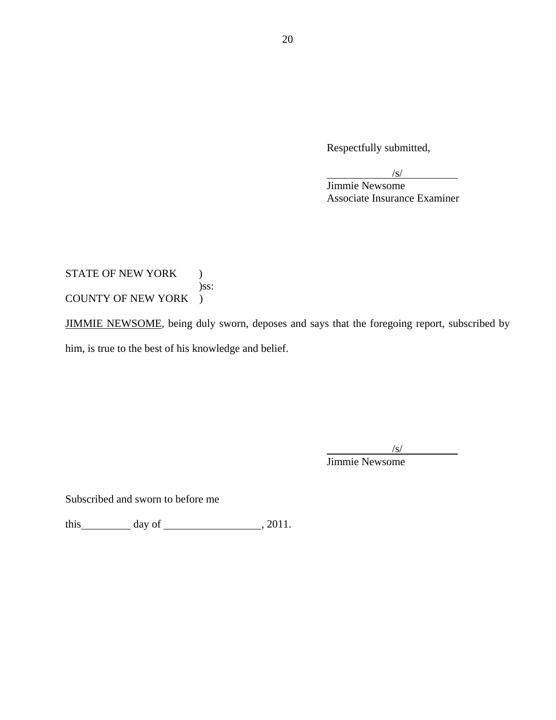Respectfully submitted,

| Jimmie Newsome               |  |
|------------------------------|--|
| Associate Insurance Examiner |  |

STATE OF NEW YORK ) )ss: COUNTY OF NEW YORK )

JIMMIE NEWSOME, being duly sworn, deposes and says that the foregoing report, subscribed by him, is true to the best of his knowledge and belief.

 $\overline{a}$  $\sqrt{s}$ /s/ Jimmie Newsome

Subscribed and sworn to before me

this  $\qquad \qquad \text{day of} \qquad \qquad .2011.$